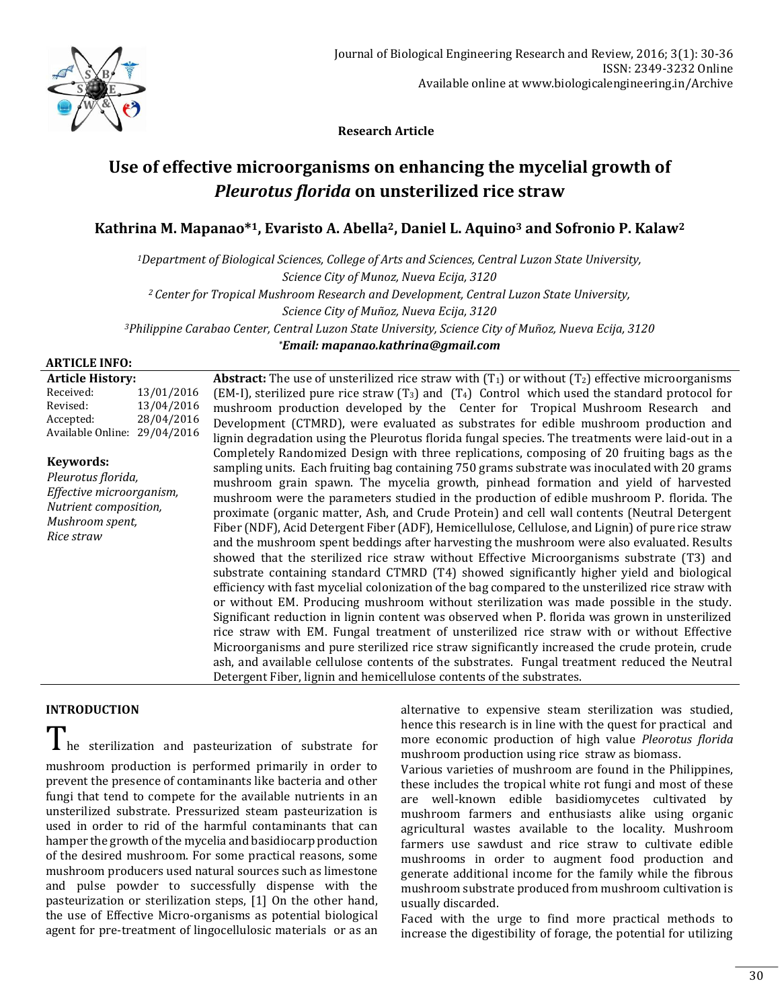

 **Research Article**

# **Use of effective microorganisms on enhancing the mycelial growth of**  *Pleurotus florida* **on unsterilized rice straw**

**Kathrina M. Mapanao\*1, Evaristo A. Abella2, Daniel L. Aquino<sup>3</sup> and Sofronio P. Kalaw<sup>2</sup>**

*<sup>1</sup>Department of Biological Sciences, College of Arts and Sciences, Central Luzon State University, Science City of Munoz, Nueva Ecija, 3120 <sup>2</sup>Center for Tropical Mushroom Research and Development, Central Luzon State University, Science City of Muñoz, Nueva Ecija, 3120 <sup>3</sup>Philippine Carabao Center, Central Luzon State University, Science City of Muñoz, Nueva Ecija, 3120 \*Email: mapanao.kathrina@gmail.com*

## **ARTICLE INFO:**

**Article History:** Received: 13/01/2016 Revised: 13/04/2016 Accepted: 28/04/2016 Available Online: 29/04/2016

# **Keywords:**

*Pleurotus florida, Effective microorganism, Nutrient composition, Mushroom spent, Rice straw*

**Abstract:** The use of unsterilized rice straw with  $(T_1)$  or without  $(T_2)$  effective microorganisms (EM-I), sterilized pure rice straw  $(T_3)$  and  $(T_4)$  Control which used the standard protocol for mushroom production developed by the Center for Tropical Mushroom Research and Development (CTMRD), were evaluated as substrates for edible mushroom production and lignin degradation using the Pleurotus florida fungal species. The treatments were laid-out in a Completely Randomized Design with three replications, composing of 20 fruiting bags as the sampling units. Each fruiting bag containing 750 grams substrate was inoculated with 20 grams mushroom grain spawn. The mycelia growth, pinhead formation and yield of harvested mushroom were the parameters studied in the production of edible mushroom P. florida. The proximate (organic matter, Ash, and Crude Protein) and cell wall contents (Neutral Detergent Fiber (NDF), Acid Detergent Fiber (ADF), Hemicellulose, Cellulose, and Lignin) of pure rice straw and the mushroom spent beddings after harvesting the mushroom were also evaluated. Results showed that the sterilized rice straw without Effective Microorganisms substrate (T3) and substrate containing standard CTMRD (T4) showed significantly higher yield and biological efficiency with fast mycelial colonization of the bag compared to the unsterilized rice straw with or without EM. Producing mushroom without sterilization was made possible in the study. Significant reduction in lignin content was observed when P. florida was grown in unsterilized rice straw with EM. Fungal treatment of unsterilized rice straw with or without Effective Microorganisms and pure sterilized rice straw significantly increased the crude protein, crude ash, and available cellulose contents of the substrates. Fungal treatment reduced the Neutral Detergent Fiber, lignin and hemicellulose contents of the substrates.

# **INTRODUCTION**

I he sterilization and pasteurization of substrate for mushroom production is performed primarily in order to prevent the presence of contaminants like bacteria and other fungi that tend to compete for the available nutrients in an unsterilized substrate. Pressurized steam pasteurization is used in order to rid of the harmful contaminants that can hamper the growth of the mycelia and basidiocarp production of the desired mushroom. For some practical reasons, some mushroom producers used natural sources such as limestone and pulse powder to successfully dispense with the pasteurization or sterilization steps, [1] On the other hand, the use of Effective Micro-organisms as potential biological agent for pre-treatment of lingocellulosic materials or as an

alternative to expensive steam sterilization was studied, hence this research is in line with the quest for practical and more economic production of high value *Pleorotus florida* mushroom production using rice straw as biomass.

Various varieties of mushroom are found in the Philippines, these includes the tropical white rot fungi and most of these are well-known edible basidiomycetes cultivated by mushroom farmers and enthusiasts alike using organic agricultural wastes available to the locality. Mushroom farmers use sawdust and rice straw to cultivate edible mushrooms in order to augment food production and generate additional income for the family while the fibrous mushroom substrate produced from mushroom cultivation is usually discarded.

Faced with the urge to find more practical methods to increase the digestibility of forage, the potential for utilizing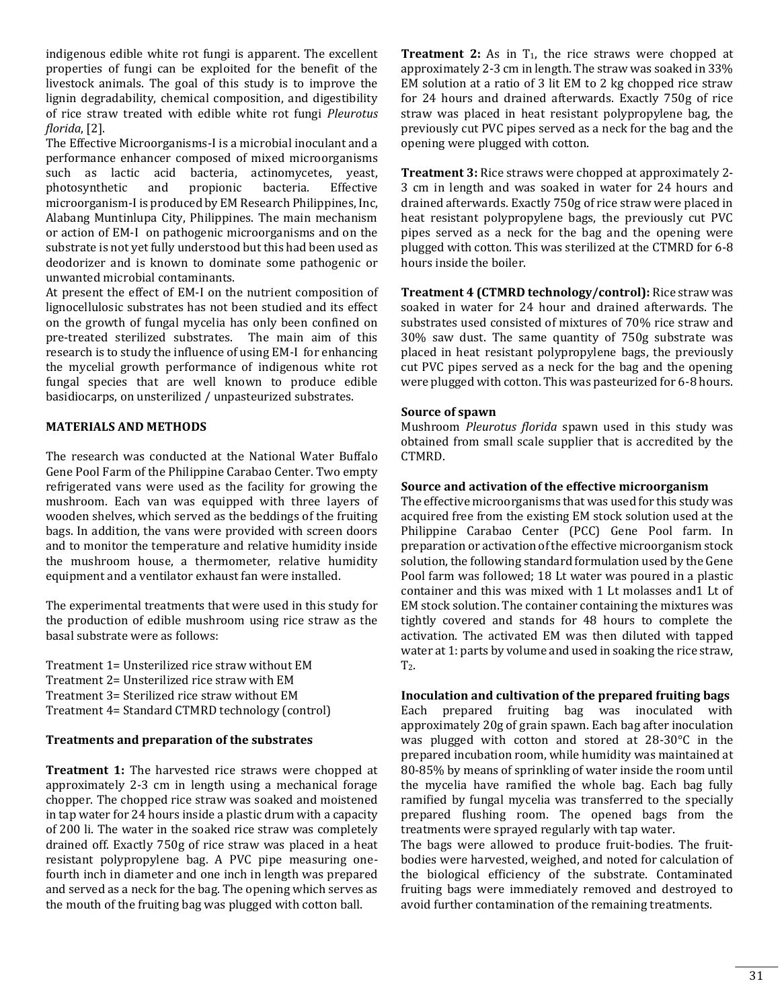indigenous edible white rot fungi is apparent. The excellent properties of fungi can be exploited for the benefit of the livestock animals. The goal of this study is to improve the lignin degradability, chemical composition, and digestibility of rice straw treated with edible white rot fungi *Pleurotus florida*, [2].

The Effective Microorganisms-I is a microbial inoculant and a performance enhancer composed of mixed microorganisms such as lactic acid bacteria, actinomycetes, yeast, photosynthetic and propionic bacteria. Effective microorganism-I is produced by EM Research Philippines, Inc, Alabang Muntinlupa City, Philippines. The main mechanism or action of EM-I on pathogenic microorganisms and on the substrate is not yet fully understood but this had been used as deodorizer and is known to dominate some pathogenic or unwanted microbial contaminants.

At present the effect of EM-I on the nutrient composition of lignocellulosic substrates has not been studied and its effect on the growth of fungal mycelia has only been confined on pre-treated sterilized substrates. The main aim of this research is to study the influence of using EM-I for enhancing the mycelial growth performance of indigenous white rot fungal species that are well known to produce edible basidiocarps, on unsterilized / unpasteurized substrates.

## **MATERIALS AND METHODS**

The research was conducted at the National Water Buffalo Gene Pool Farm of the Philippine Carabao Center. Two empty refrigerated vans were used as the facility for growing the mushroom. Each van was equipped with three layers of wooden shelves, which served as the beddings of the fruiting bags. In addition, the vans were provided with screen doors and to monitor the temperature and relative humidity inside the mushroom house, a thermometer, relative humidity equipment and a ventilator exhaust fan were installed.

The experimental treatments that were used in this study for the production of edible mushroom using rice straw as the basal substrate were as follows:

Treatment 1= Unsterilized rice straw without EM Treatment 2= Unsterilized rice straw with EM Treatment 3= Sterilized rice straw without EM Treatment 4= Standard CTMRD technology (control)

## **Treatments and preparation of the substrates**

**Treatment 1:** The harvested rice straws were chopped at approximately 2-3 cm in length using a mechanical forage chopper. The chopped rice straw was soaked and moistened in tap water for 24 hours inside a plastic drum with a capacity of 200 li. The water in the soaked rice straw was completely drained off. Exactly 750g of rice straw was placed in a heat resistant polypropylene bag. A PVC pipe measuring onefourth inch in diameter and one inch in length was prepared and served as a neck for the bag. The opening which serves as the mouth of the fruiting bag was plugged with cotton ball.

**Treatment 2:** As in  $T_1$ , the rice straws were chopped at approximately 2-3 cm in length. The straw was soaked in 33% EM solution at a ratio of 3 lit EM to 2 kg chopped rice straw for 24 hours and drained afterwards. Exactly 750g of rice straw was placed in heat resistant polypropylene bag, the previously cut PVC pipes served as a neck for the bag and the opening were plugged with cotton.

**Treatment 3:** Rice straws were chopped at approximately 2- 3 cm in length and was soaked in water for 24 hours and drained afterwards. Exactly 750g of rice straw were placed in heat resistant polypropylene bags, the previously cut PVC pipes served as a neck for the bag and the opening were plugged with cotton. This was sterilized at the CTMRD for 6-8 hours inside the boiler.

**Treatment 4 (CTMRD technology/control):** Rice straw was soaked in water for 24 hour and drained afterwards. The substrates used consisted of mixtures of 70% rice straw and 30% saw dust. The same quantity of 750g substrate was placed in heat resistant polypropylene bags, the previously cut PVC pipes served as a neck for the bag and the opening were plugged with cotton. This was pasteurized for 6-8 hours.

#### **Source of spawn**

Mushroom *Pleurotus florida* spawn used in this study was obtained from small scale supplier that is accredited by the CTMRD.

#### **Source and activation of the effective microorganism**

The effective microorganisms that was used for this study was acquired free from the existing EM stock solution used at the Philippine Carabao Center (PCC) Gene Pool farm. In preparation or activation of the effective microorganism stock solution, the following standard formulation used by the Gene Pool farm was followed; 18 Lt water was poured in a plastic container and this was mixed with 1 Lt molasses and1 Lt of EM stock solution. The container containing the mixtures was tightly covered and stands for 48 hours to complete the activation. The activated EM was then diluted with tapped water at 1: parts by volume and used in soaking the rice straw,  $T<sub>2</sub>$ .

#### **Inoculation and cultivation of the prepared fruiting bags**

Each prepared fruiting bag was inoculated with approximately 20g of grain spawn. Each bag after inoculation was plugged with cotton and stored at 28-30°C in the prepared incubation room, while humidity was maintained at 80-85% by means of sprinkling of water inside the room until the mycelia have ramified the whole bag. Each bag fully ramified by fungal mycelia was transferred to the specially prepared flushing room. The opened bags from the treatments were sprayed regularly with tap water.

The bags were allowed to produce fruit-bodies. The fruitbodies were harvested, weighed, and noted for calculation of the biological efficiency of the substrate. Contaminated fruiting bags were immediately removed and destroyed to avoid further contamination of the remaining treatments.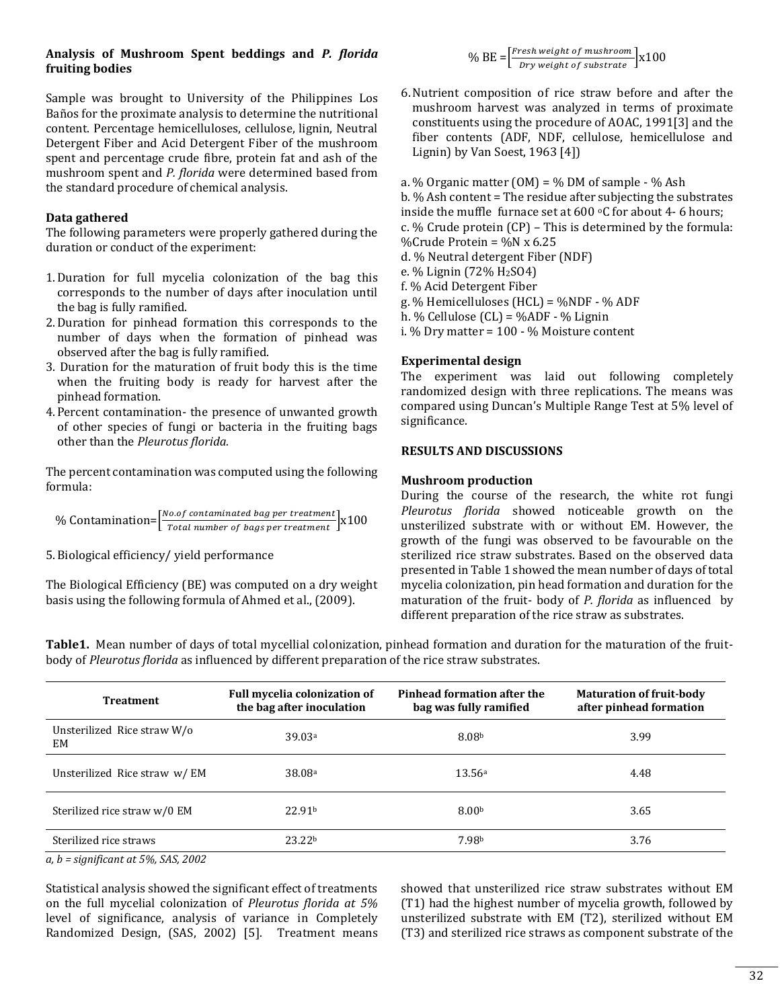## **Analysis of Mushroom Spent beddings and** *P. florida*  **fruiting bodies**

Sample was brought to University of the Philippines Los Baños for the proximate analysis to determine the nutritional content. Percentage hemicelluloses, cellulose, lignin, Neutral Detergent Fiber and Acid Detergent Fiber of the mushroom spent and percentage crude fibre, protein fat and ash of the mushroom spent and *P. florida* were determined based from the standard procedure of chemical analysis.

## **Data gathered**

The following parameters were properly gathered during the duration or conduct of the experiment:

- 1.Duration for full mycelia colonization of the bag this corresponds to the number of days after inoculation until the bag is fully ramified.
- 2.Duration for pinhead formation this corresponds to the number of days when the formation of pinhead was observed after the bag is fully ramified.
- 3. Duration for the maturation of fruit body this is the time when the fruiting body is ready for harvest after the pinhead formation.
- 4. Percent contamination- the presence of unwanted growth of other species of fungi or bacteria in the fruiting bags other than the *Pleurotus florida.*

The percent contamination was computed using the following formula:

$$
\% \; \text{Continuation} \text{=}\Big[\frac{\text{No. of contaminated bag per treatment}}{\text{Total number of bags per treatment}}\Big] \text{x100}
$$

5.Biological efficiency/ yield performance

The Biological Efficiency (BE) was computed on a dry weight basis using the following formula of Ahmed et al., (2009).

body of *Pleurotus florida* as influenced by different preparation of the rice straw substrates.

 $\%$  BE =  $\left[\frac{Fresh\ weight\ of\ must\ room}{Dry\ weight\ of\ substrate}\right]$   $\times 100$ 

- 6.Nutrient composition of rice straw before and after the mushroom harvest was analyzed in terms of proximate constituents using the procedure of AOAC, 1991[3] and the fiber contents (ADF, NDF, cellulose, hemicellulose and Lignin) by Van Soest, 1963 [4])
- a. % Organic matter  $(OM) = % DM of sample % Ash$ b. % Ash content = The residue after subjecting the substrates inside the muffle furnace set at  $600$  °C for about 4- 6 hours; c. % Crude protein (CP) – This is determined by the formula: %Crude Protein = %N  $x$  6.25 d. % Neutral detergent Fiber (NDF) e. % Lignin (72%  $H<sub>2</sub>SO4$ ) f. % Acid Detergent Fiber g. % Hemicelluloses (HCL) = %NDF - % ADF h. % Cellulose (CL) = %ADF - % Lignin
- i. % Dry matter = 100 % Moisture content

## **Experimental design**

The experiment was laid out following completely randomized design with three replications. The means was compared using Duncan's Multiple Range Test at 5% level of significance.

## **RESULTS AND DISCUSSIONS**

## **Mushroom production**

During the course of the research, the white rot fungi *Pleurotus florida* showed noticeable growth on the unsterilized substrate with or without EM. However, the growth of the fungi was observed to be favourable on the sterilized rice straw substrates. Based on the observed data presented in Table 1 showed the mean number of days of total mycelia colonization, pin head formation and duration for the maturation of the fruit- body of *P. florida* as influenced by different preparation of the rice straw as substrates.

**Treatment Full mycelia colonization of the bag after inoculation Pinhead formation after the bag was fully ramified Maturation of fruit-body after pinhead formation** Unsterilized Rice straw W/o EM  $3.99$   $39.03^a$   $39.03^a$ Unsterilized Rice straw w/ EM 38.08a 13.56a 13.56a 14.48 Sterilized rice straw w/0 EM  $22.91<sup>b</sup>$  8.00<sup>b</sup> 8.00<sup>b</sup> 3.65 Sterilized rice straws 23.22b 3.76

**Table1.** Mean number of days of total mycellial colonization, pinhead formation and duration for the maturation of the fruit-

*a, b = significant at 5%, SAS, 2002*

Statistical analysis showed the significant effect of treatments on the full mycelial colonization of *Pleurotus florida at 5%*  level of significance, analysis of variance in Completely Randomized Design, (SAS, 2002) [5]*.* Treatment means showed that unsterilized rice straw substrates without EM (T1) had the highest number of mycelia growth, followed by unsterilized substrate with EM (T2), sterilized without EM (T3) and sterilized rice straws as component substrate of the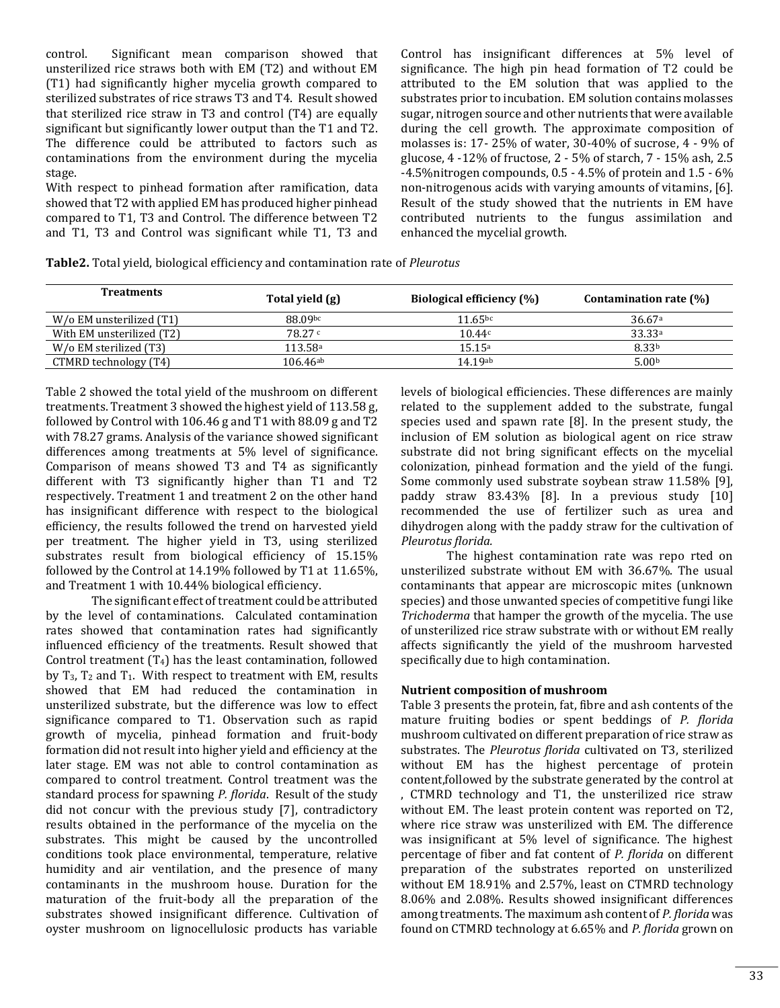control. Significant mean comparison showed that unsterilized rice straws both with EM (T2) and without EM (T1) had significantly higher mycelia growth compared to sterilized substrates of rice straws T3 and T4. Result showed that sterilized rice straw in T3 and control (T4) are equally significant but significantly lower output than the T1 and T2. The difference could be attributed to factors such as contaminations from the environment during the mycelia stage.

With respect to pinhead formation after ramification, data showed that T2 with applied EM has produced higher pinhead compared to T1, T3 and Control. The difference between T2 and T1, T3 and Control was significant while T1, T3 and Control has insignificant differences at 5% level of significance. The high pin head formation of T2 could be attributed to the EM solution that was applied to the substrates prior to incubation. EM solution contains molasses sugar, nitrogen source and other nutrients that were available during the cell growth. The approximate composition of molasses is: 17- 25% of water, 30-40% of sucrose, 4 - 9% of glucose, 4 -12% of fructose, 2 - 5% of starch, 7 - 15% ash, 2.5 -4.5%nitrogen compounds, 0.5 - 4.5% of protein and 1.5 - 6% non-nitrogenous acids with varying amounts of vitamins, [6]. Result of the study showed that the nutrients in EM have contributed nutrients to the fungus assimilation and enhanced the mycelial growth.

**Table2.** Total yield, biological efficiency and contamination rate of *Pleurotus*

| <b>Treatments</b>         | Total yield (g)        | Biological efficiency (%) | Contamination rate (%) |
|---------------------------|------------------------|---------------------------|------------------------|
| W/o EM unsterilized (T1)  | 88.09bc                | $11.65^{bc}$              | 36.67a                 |
| With EM unsterilized (T2) | 78.27c                 | 10.44c                    | 33.33a                 |
| W/o EM sterilized (T3)    | 113.58ª                | 15.15a                    | 8.33b                  |
| CTMRD technology (T4)     | $106.46$ <sup>ab</sup> | 14.19ab                   | 5.00 <sub>b</sub>      |

Table 2 showed the total yield of the mushroom on different treatments. Treatment 3 showed the highest yield of 113.58 g, followed by Control with 106.46 g and T1 with 88.09 g and T2 with 78.27 grams. Analysis of the variance showed significant differences among treatments at 5% level of significance. Comparison of means showed T3 and T4 as significantly different with T3 significantly higher than T1 and T2 respectively. Treatment 1 and treatment 2 on the other hand has insignificant difference with respect to the biological efficiency, the results followed the trend on harvested yield per treatment. The higher yield in T3, using sterilized substrates result from biological efficiency of 15.15% followed by the Control at 14.19% followed by T1 at 11.65%, and Treatment 1 with 10.44% biological efficiency.

The significant effect of treatment could be attributed by the level of contaminations. Calculated contamination rates showed that contamination rates had significantly influenced efficiency of the treatments. Result showed that Control treatment (T4) has the least contamination, followed by  $T_3$ ,  $T_2$  and  $T_1$ . With respect to treatment with EM, results showed that EM had reduced the contamination in unsterilized substrate, but the difference was low to effect significance compared to T1. Observation such as rapid growth of mycelia, pinhead formation and fruit-body formation did not result into higher yield and efficiency at the later stage. EM was not able to control contamination as compared to control treatment. Control treatment was the standard process for spawning *P. florida*. Result of the study did not concur with the previous study [7], contradictory results obtained in the performance of the mycelia on the substrates. This might be caused by the uncontrolled conditions took place environmental, temperature, relative humidity and air ventilation, and the presence of many contaminants in the mushroom house. Duration for the maturation of the fruit-body all the preparation of the substrates showed insignificant difference. Cultivation of oyster mushroom on lignocellulosic products has variable

levels of biological efficiencies. These differences are mainly related to the supplement added to the substrate, fungal species used and spawn rate [8]. In the present study, the inclusion of EM solution as biological agent on rice straw substrate did not bring significant effects on the mycelial colonization, pinhead formation and the yield of the fungi. Some commonly used substrate soybean straw 11.58% [9], paddy straw 83.43% [8]. In a previous study [10] recommended the use of fertilizer such as urea and dihydrogen along with the paddy straw for the cultivation of *Pleurotus florida.* 

The highest contamination rate was repo rted on unsterilized substrate without EM with 36.67%. The usual contaminants that appear are microscopic mites (unknown species) and those unwanted species of competitive fungi like *Trichoderma* that hamper the growth of the mycelia. The use of unsterilized rice straw substrate with or without EM really affects significantly the yield of the mushroom harvested specifically due to high contamination.

## **Nutrient composition of mushroom**

Table 3 presents the protein, fat, fibre and ash contents of the mature fruiting bodies or spent beddings of *P. florida* mushroom cultivated on different preparation of rice straw as substrates. The *Pleurotus florida* cultivated on T3, sterilized without EM has the highest percentage of protein content,followed by the substrate generated by the control at , CTMRD technology and T1, the unsterilized rice straw without EM. The least protein content was reported on T2, where rice straw was unsterilized with EM. The difference was insignificant at 5% level of significance. The highest percentage of fiber and fat content of *P. florida* on different preparation of the substrates reported on unsterilized without EM 18.91% and 2.57%, least on CTMRD technology 8.06% and 2.08%. Results showed insignificant differences among treatments. The maximum ash content of *P. florida* was found on CTMRD technology at 6.65% and *P. florida* grown on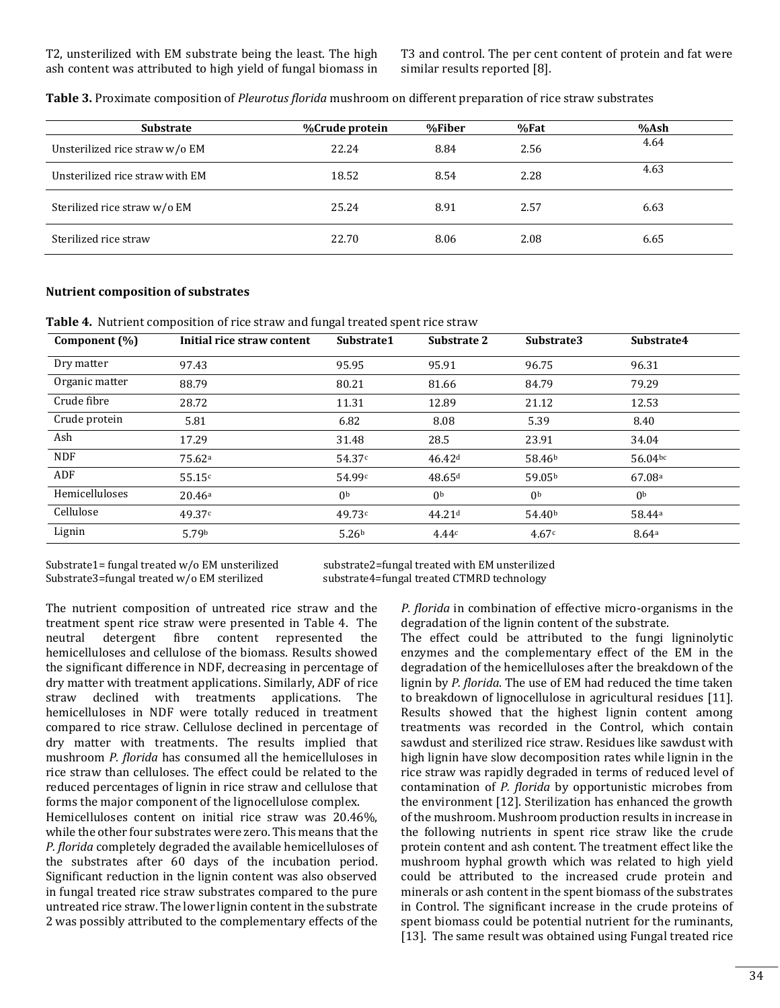T3 and control. The per cent content of protein and fat were similar results reported [8].

| <b>Substrate</b>                | <b>%Crude protein</b> | %Fiber | %Fat | %Ash |
|---------------------------------|-----------------------|--------|------|------|
| Unsterilized rice straw w/o EM  | 22.24                 | 8.84   | 2.56 | 4.64 |
| Unsterilized rice straw with EM | 18.52                 | 8.54   | 2.28 | 4.63 |
| Sterilized rice straw w/o EM    | 25.24                 | 8.91   | 2.57 | 6.63 |
| Sterilized rice straw           | 22.70                 | 8.06   | 2.08 | 6.65 |

**Table 3.** Proximate composition of *Pleurotus florida* mushroom on different preparation of rice straw substrates

#### **Nutrient composition of substrates**

**Table 4.** Nutrient composition of rice straw and fungal treated spent rice straw

| Component (%)  | Initial rice straw content | Substrate1        | Substrate 2        | Substrate3         | Substrate4         |
|----------------|----------------------------|-------------------|--------------------|--------------------|--------------------|
| Dry matter     | 97.43                      | 95.95             | 95.91              | 96.75              | 96.31              |
| Organic matter | 88.79                      | 80.21             | 81.66              | 84.79              | 79.29              |
| Crude fibre    | 28.72                      | 11.31             | 12.89              | 21.12              | 12.53              |
| Crude protein  | 5.81                       | 6.82              | 8.08               | 5.39               | 8.40               |
| Ash            | 17.29                      | 31.48             | 28.5               | 23.91              | 34.04              |
| <b>NDF</b>     | 75.62 <sup>a</sup>         | 54.37c            | 46.42 <sup>d</sup> | 58.46 <sup>b</sup> | 56.04bc            |
| ADF            | 55.15c                     | 54.99c            | 48.65d             | 59.05b             | 67.08 <sup>a</sup> |
| Hemicelluloses | 20.46a                     | 0 <sub>b</sub>    | 0 <sub>b</sub>     | 0 <sub>b</sub>     | 0 <sub>b</sub>     |
| Cellulose      | 49.37c                     | 49.73c            | 44.21 <sup>d</sup> | 54.40 <sup>b</sup> | 58.44 <sup>a</sup> |
| Lignin         | 5.79 <sup>b</sup>          | 5.26 <sup>b</sup> | 4.44c              | 4.67c              | 8.64a              |

Substrate1= fungal treated w/o EM unsterilized substrate2=fungal treated with EM unsterilized Substrate3=fungal treated w/o EM sterilized substrate4=fungal treated CTMRD technology

The nutrient composition of untreated rice straw and the treatment spent rice straw were presented in Table 4. The neutral detergent fibre content represented the hemicelluloses and cellulose of the biomass. Results showed the significant difference in NDF, decreasing in percentage of dry matter with treatment applications. Similarly, ADF of rice straw declined with treatments applications. The hemicelluloses in NDF were totally reduced in treatment compared to rice straw. Cellulose declined in percentage of dry matter with treatments. The results implied that mushroom *P. florida* has consumed all the hemicelluloses in rice straw than celluloses. The effect could be related to the reduced percentages of lignin in rice straw and cellulose that forms the major component of the lignocellulose complex.

Hemicelluloses content on initial rice straw was 20.46%, while the other four substrates were zero. This means that the *P. florida* completely degraded the available hemicelluloses of the substrates after 60 days of the incubation period. Significant reduction in the lignin content was also observed in fungal treated rice straw substrates compared to the pure untreated rice straw. The lower lignin content in the substrate 2 was possibly attributed to the complementary effects of the

*P. florida* in combination of effective micro-organisms in the degradation of the lignin content of the substrate.

The effect could be attributed to the fungi ligninolytic enzymes and the complementary effect of the EM in the degradation of the hemicelluloses after the breakdown of the lignin by *P. florida*. The use of EM had reduced the time taken to breakdown of lignocellulose in agricultural residues [11]. Results showed that the highest lignin content among treatments was recorded in the Control, which contain sawdust and sterilized rice straw. Residues like sawdust with high lignin have slow decomposition rates while lignin in the rice straw was rapidly degraded in terms of reduced level of contamination of *P. florida* by opportunistic microbes from the environment [12]. Sterilization has enhanced the growth of the mushroom. Mushroom production results in increase in the following nutrients in spent rice straw like the crude protein content and ash content. The treatment effect like the mushroom hyphal growth which was related to high yield could be attributed to the increased crude protein and minerals or ash content in the spent biomass of the substrates in Control. The significant increase in the crude proteins of spent biomass could be potential nutrient for the ruminants, [13]. The same result was obtained using Fungal treated rice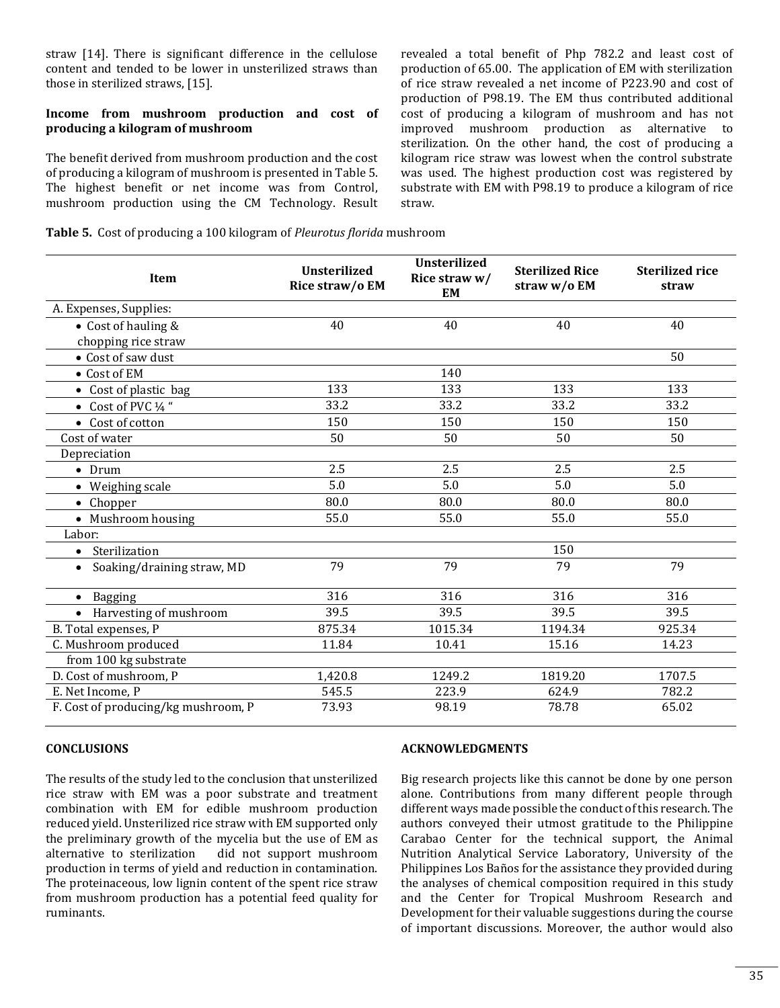straw [14]. There is significant difference in the cellulose content and tended to be lower in unsterilized straws than those in sterilized straws, [15].

## **Income from mushroom production and cost of producing a kilogram of mushroom**

The benefit derived from mushroom production and the cost of producing a kilogram of mushroom is presented in Table 5. The highest benefit or net income was from Control, mushroom production using the CM Technology. Result revealed a total benefit of Php 782.2 and least cost of production of 65.00. The application of EM with sterilization of rice straw revealed a net income of P223.90 and cost of production of P98.19. The EM thus contributed additional cost of producing a kilogram of mushroom and has not improved mushroom production as alternative to sterilization. On the other hand, the cost of producing a kilogram rice straw was lowest when the control substrate was used. The highest production cost was registered by substrate with EM with P98.19 to produce a kilogram of rice straw.

|  |  |  | Table 5. Cost of producing a 100 kilogram of Pleurotus florida mushroom |  |
|--|--|--|-------------------------------------------------------------------------|--|
|--|--|--|-------------------------------------------------------------------------|--|

| Item                                    | <b>Unsterilized</b><br>Rice straw/o EM | Unsterilized<br>Rice straw w/<br>EM | <b>Sterilized Rice</b><br>straw w/o EM | <b>Sterilized rice</b><br>straw |
|-----------------------------------------|----------------------------------------|-------------------------------------|----------------------------------------|---------------------------------|
| A. Expenses, Supplies:                  |                                        |                                     |                                        |                                 |
| • Cost of hauling &                     | 40                                     | 40                                  | 40                                     | 40                              |
| chopping rice straw                     |                                        |                                     |                                        |                                 |
| • Cost of saw dust                      |                                        |                                     |                                        | 50                              |
| • Cost of EM                            |                                        | 140                                 |                                        |                                 |
| Cost of plastic bag                     | 133                                    | 133                                 | 133                                    | 133                             |
| $\bullet$ Cost of PVC 1/4 "             | 33.2                                   | 33.2                                | 33.2                                   | 33.2                            |
| Cost of cotton<br>$\bullet$             | 150                                    | 150                                 | 150                                    | 150                             |
| Cost of water                           | 50                                     | 50                                  | 50                                     | 50                              |
| Depreciation                            |                                        |                                     |                                        |                                 |
| $\bullet$ Drum                          | 2.5                                    | 2.5                                 | 2.5                                    | 2.5                             |
| • Weighing scale                        | 5.0                                    | 5.0                                 | 5.0                                    | 5.0                             |
| Chopper<br>$\bullet$                    | 80.0                                   | 80.0                                | 80.0                                   | 80.0                            |
| • Mushroom housing                      | 55.0                                   | 55.0                                | 55.0                                   | 55.0                            |
| Labor:                                  |                                        |                                     |                                        |                                 |
| Sterilization<br>$\bullet$              |                                        |                                     | 150                                    |                                 |
| Soaking/draining straw, MD<br>$\bullet$ | 79                                     | 79                                  | 79                                     | 79                              |
| <b>Bagging</b><br>$\bullet$             | 316                                    | 316                                 | 316                                    | 316                             |
| Harvesting of mushroom                  | 39.5                                   | 39.5                                | 39.5                                   | 39.5                            |
| B. Total expenses, P                    | 875.34                                 | 1015.34                             | 1194.34                                | 925.34                          |
| C. Mushroom produced                    | 11.84                                  | 10.41                               | 15.16                                  | 14.23                           |
| from 100 kg substrate                   |                                        |                                     |                                        |                                 |
| D. Cost of mushroom, P                  | 1,420.8                                | 1249.2                              | 1819.20                                | 1707.5                          |
| E. Net Income, P                        | 545.5                                  | 223.9                               | 624.9                                  | 782.2                           |
| F. Cost of producing/kg mushroom, P     | 73.93                                  | 98.19                               | 78.78                                  | 65.02                           |

## **CONCLUSIONS**

The results of the study led to the conclusion that unsterilized rice straw with EM was a poor substrate and treatment combination with EM for edible mushroom production reduced yield. Unsterilized rice straw with EM supported only the preliminary growth of the mycelia but the use of EM as alternative to sterilization did not support mushroom production in terms of yield and reduction in contamination. The proteinaceous, low lignin content of the spent rice straw from mushroom production has a potential feed quality for ruminants.

#### **ACKNOWLEDGMENTS**

Big research projects like this cannot be done by one person alone. Contributions from many different people through different ways made possible the conduct of this research. The authors conveyed their utmost gratitude to the Philippine Carabao Center for the technical support, the Animal Nutrition Analytical Service Laboratory, University of the Philippines Los Baños for the assistance they provided during the analyses of chemical composition required in this study and the Center for Tropical Mushroom Research and Development for their valuable suggestions during the course of important discussions. Moreover, the author would also